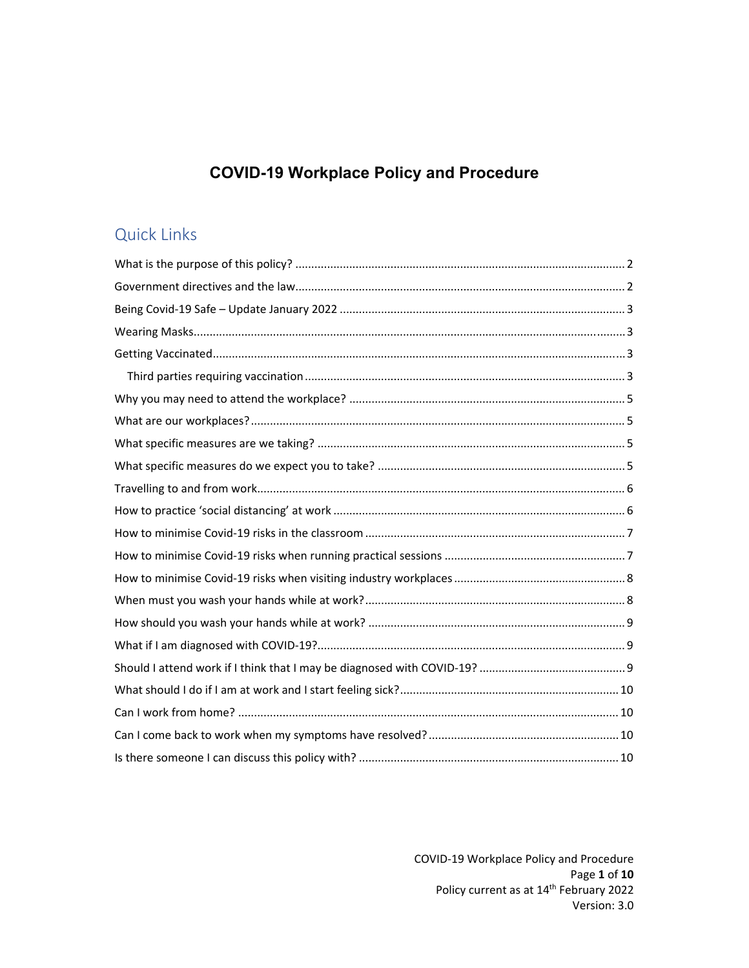# **COVID-19 Workplace Policy and Procedure**

# Quick Links

COVID‐19 Workplace Policy and Procedure Page **1** of **10** Policy current as at 14<sup>th</sup> February 2022 Version: 3.0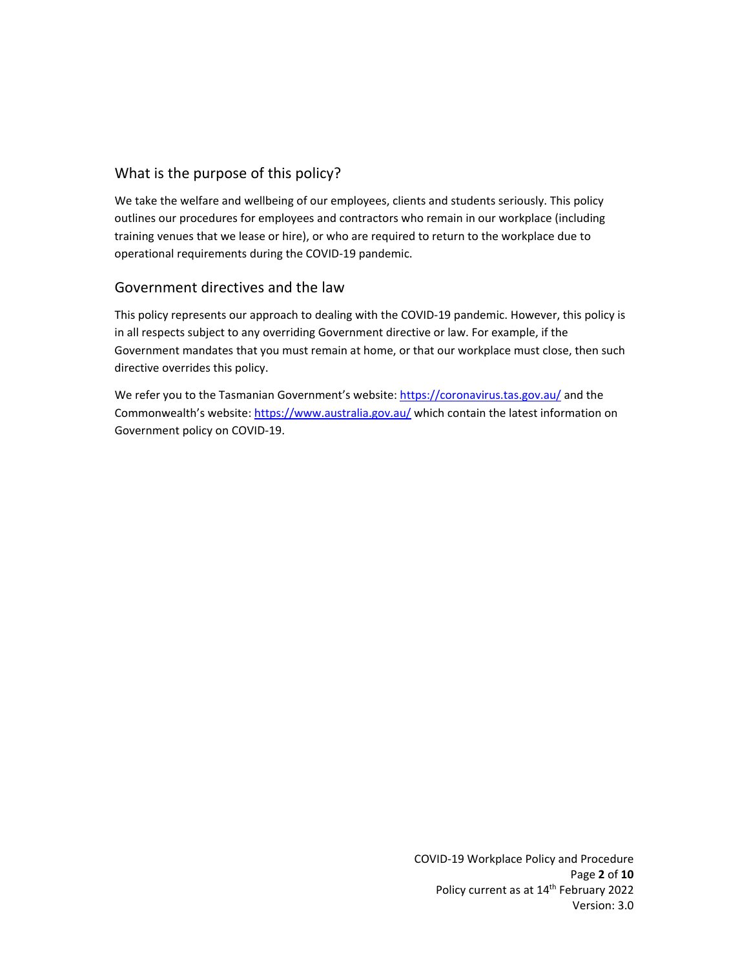# What is the purpose of this policy?

We take the welfare and wellbeing of our employees, clients and students seriously. This policy outlines our procedures for employees and contractors who remain in our workplace (including training venues that we lease or hire), or who are required to return to the workplace due to operational requirements during the COVID‐19 pandemic.

## Government directives and the law

This policy represents our approach to dealing with the COVID‐19 pandemic. However, this policy is in all respects subject to any overriding Government directive or law. For example, if the Government mandates that you must remain at home, or that our workplace must close, then such directive overrides this policy.

We refer you to the Tasmanian Government's website: https://coronavirus.tas.gov.au/ and the Commonwealth's website: https://www.australia.gov.au/ which contain the latest information on Government policy on COVID‐19.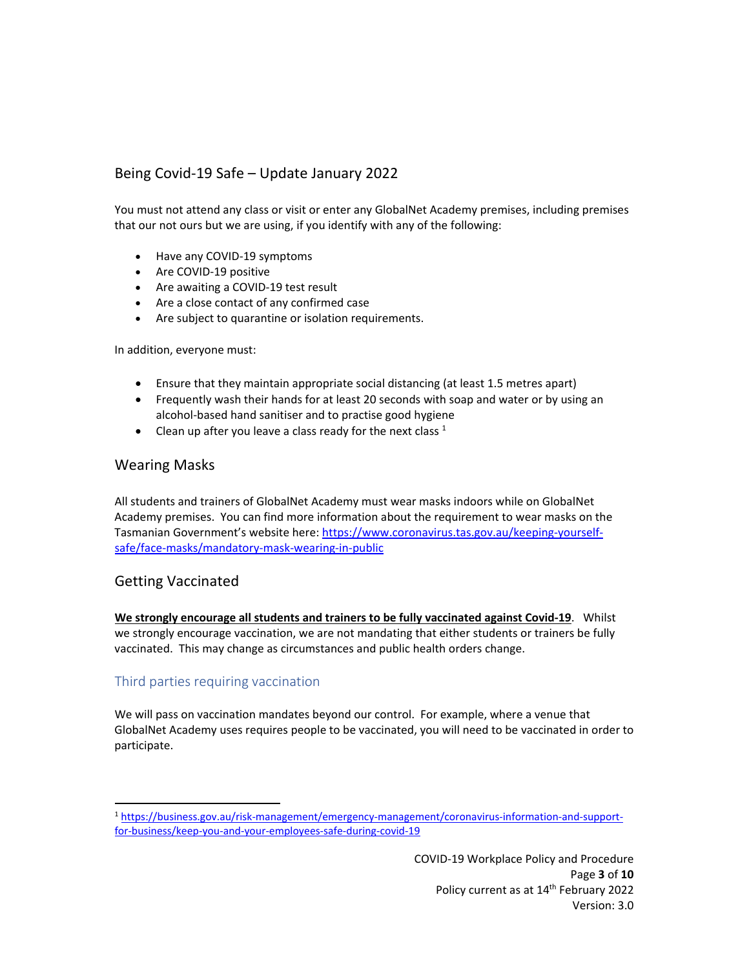# Being Covid‐19 Safe – Update January 2022

You must not attend any class or visit or enter any GlobalNet Academy premises, including premises that our not ours but we are using, if you identify with any of the following:

- Have any COVID-19 symptoms
- Are COVID-19 positive
- Are awaiting a COVID-19 test result
- Are a close contact of any confirmed case
- Are subject to quarantine or isolation requirements.

In addition, everyone must:

- Ensure that they maintain appropriate social distancing (at least 1.5 metres apart)
- Frequently wash their hands for at least 20 seconds with soap and water or by using an alcohol‐based hand sanitiser and to practise good hygiene
- Clean up after you leave a class ready for the next class  $1$

#### Wearing Masks

All students and trainers of GlobalNet Academy must wear masks indoors while on GlobalNet Academy premises. You can find more information about the requirement to wear masks on the Tasmanian Government's website here: https://www.coronavirus.tas.gov.au/keeping‐yourself‐ safe/face‐masks/mandatory‐mask‐wearing‐in‐public

#### Getting Vaccinated

**We strongly encourage all students and trainers to be fully vaccinated against Covid‐19**. Whilst we strongly encourage vaccination, we are not mandating that either students or trainers be fully vaccinated. This may change as circumstances and public health orders change.

#### Third parties requiring vaccination

We will pass on vaccination mandates beyond our control. For example, where a venue that GlobalNet Academy uses requires people to be vaccinated, you will need to be vaccinated in order to participate.

<sup>1</sup> https://business.gov.au/risk‐management/emergency‐management/coronavirus‐information‐and‐support‐ for‐business/keep‐you‐and‐your‐employees‐safe‐during‐covid‐19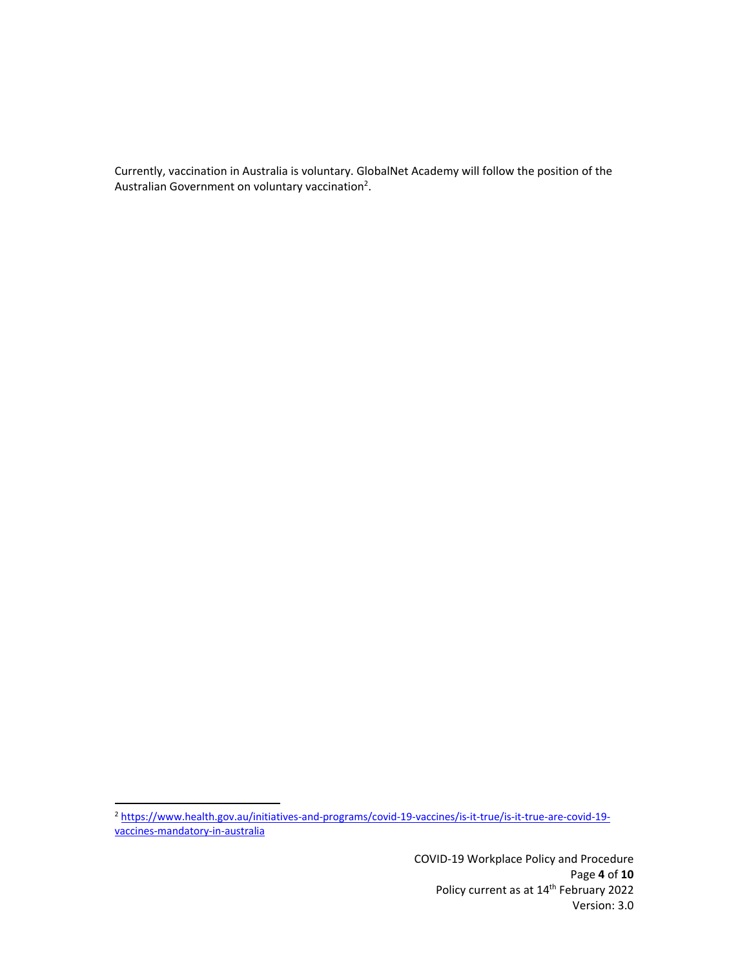Currently, vaccination in Australia is voluntary. GlobalNet Academy will follow the position of the Australian Government on voluntary vaccination<sup>2</sup>.

<sup>2</sup> https://www.health.gov.au/initiatives-and-programs/covid-19-vaccines/is-it-true/is-it-true-are-covid-19vaccines‐mandatory‐in‐australia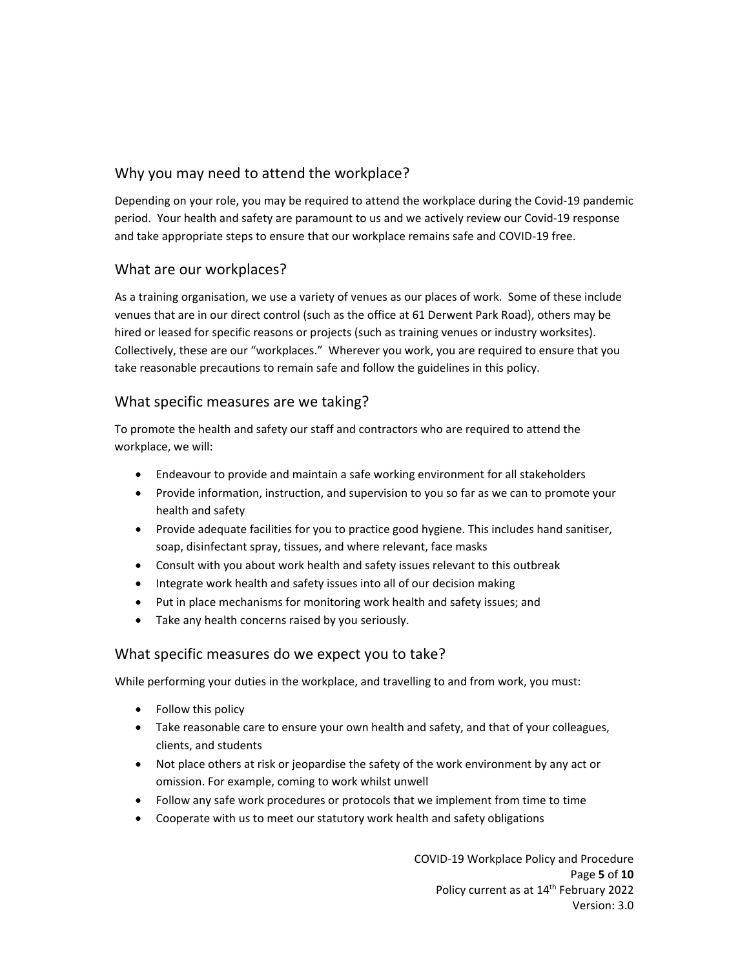# Why you may need to attend the workplace?

Depending on your role, you may be required to attend the workplace during the Covid‐19 pandemic period. Your health and safety are paramount to us and we actively review our Covid‐19 response and take appropriate steps to ensure that our workplace remains safe and COVID‐19 free.

## What are our workplaces?

As a training organisation, we use a variety of venues as our places of work. Some of these include venues that are in our direct control (such as the office at 61 Derwent Park Road), others may be hired or leased for specific reasons or projects (such as training venues or industry worksites). Collectively, these are our "workplaces." Wherever you work, you are required to ensure that you take reasonable precautions to remain safe and follow the guidelines in this policy.

## What specific measures are we taking?

To promote the health and safety our staff and contractors who are required to attend the workplace, we will:

- Endeavour to provide and maintain a safe working environment for all stakeholders
- Provide information, instruction, and supervision to you so far as we can to promote your health and safety
- Provide adequate facilities for you to practice good hygiene. This includes hand sanitiser, soap, disinfectant spray, tissues, and where relevant, face masks
- Consult with you about work health and safety issues relevant to this outbreak
- Integrate work health and safety issues into all of our decision making
- Put in place mechanisms for monitoring work health and safety issues; and
- Take any health concerns raised by you seriously.

## What specific measures do we expect you to take?

While performing your duties in the workplace, and travelling to and from work, you must:

- Follow this policy
- Take reasonable care to ensure your own health and safety, and that of your colleagues, clients, and students
- Not place others at risk or jeopardise the safety of the work environment by any act or omission. For example, coming to work whilst unwell
- Follow any safe work procedures or protocols that we implement from time to time
- Cooperate with us to meet our statutory work health and safety obligations

COVID‐19 Workplace Policy and Procedure Page **5** of **10** Policy current as at 14<sup>th</sup> February 2022 Version: 3.0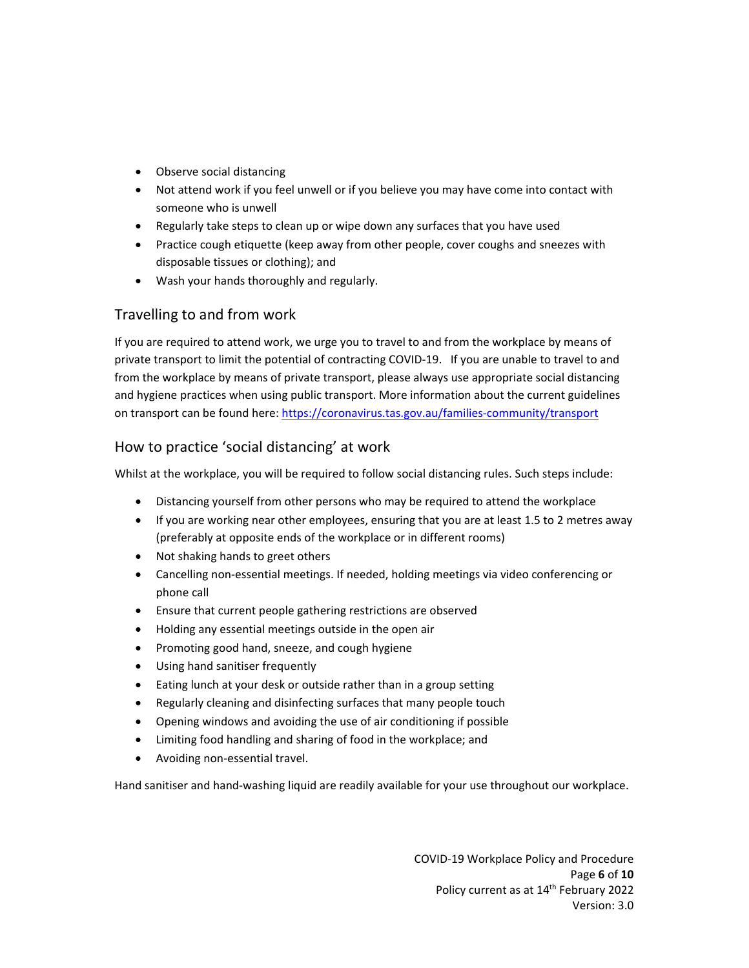- Observe social distancing
- Not attend work if you feel unwell or if you believe you may have come into contact with someone who is unwell
- Regularly take steps to clean up or wipe down any surfaces that you have used
- Practice cough etiquette (keep away from other people, cover coughs and sneezes with disposable tissues or clothing); and
- Wash your hands thoroughly and regularly.

## Travelling to and from work

If you are required to attend work, we urge you to travel to and from the workplace by means of private transport to limit the potential of contracting COVID‐19. If you are unable to travel to and from the workplace by means of private transport, please always use appropriate social distancing and hygiene practices when using public transport. More information about the current guidelines on transport can be found here: https://coronavirus.tas.gov.au/families‐community/transport

## How to practice 'social distancing' at work

Whilst at the workplace, you will be required to follow social distancing rules. Such steps include:

- Distancing yourself from other persons who may be required to attend the workplace
- If you are working near other employees, ensuring that you are at least 1.5 to 2 metres away (preferably at opposite ends of the workplace or in different rooms)
- Not shaking hands to greet others
- Cancelling non-essential meetings. If needed, holding meetings via video conferencing or phone call
- Ensure that current people gathering restrictions are observed
- Holding any essential meetings outside in the open air
- Promoting good hand, sneeze, and cough hygiene
- Using hand sanitiser frequently
- Eating lunch at your desk or outside rather than in a group setting
- Regularly cleaning and disinfecting surfaces that many people touch
- Opening windows and avoiding the use of air conditioning if possible
- Limiting food handling and sharing of food in the workplace; and
- Avoiding non‐essential travel.

Hand sanitiser and hand-washing liquid are readily available for your use throughout our workplace.

COVID‐19 Workplace Policy and Procedure Page **6** of **10** Policy current as at 14<sup>th</sup> February 2022 Version: 3.0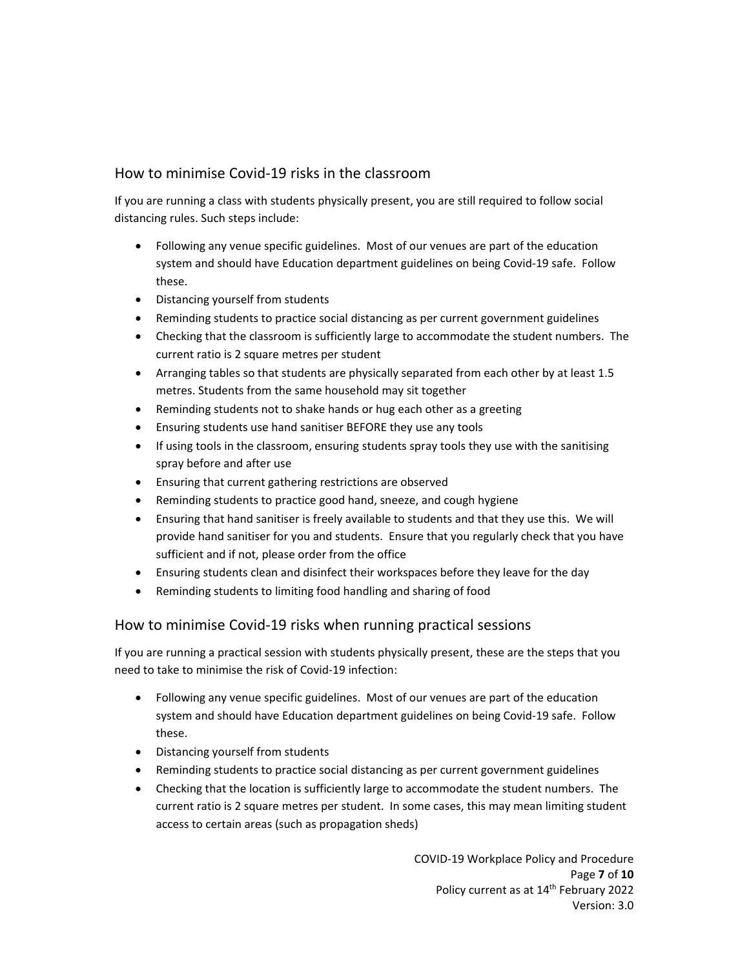## How to minimise Covid‐19 risks in the classroom

If you are running a class with students physically present, you are still required to follow social distancing rules. Such steps include:

- Following any venue specific guidelines. Most of our venues are part of the education system and should have Education department guidelines on being Covid‐19 safe. Follow these.
- Distancing yourself from students
- Reminding students to practice social distancing as per current government guidelines
- Checking that the classroom is sufficiently large to accommodate the student numbers. The current ratio is 2 square metres per student
- Arranging tables so that students are physically separated from each other by at least 1.5 metres. Students from the same household may sit together
- Reminding students not to shake hands or hug each other as a greeting
- Ensuring students use hand sanitiser BEFORE they use any tools
- If using tools in the classroom, ensuring students spray tools they use with the sanitising spray before and after use
- Ensuring that current gathering restrictions are observed
- Reminding students to practice good hand, sneeze, and cough hygiene
- Ensuring that hand sanitiser is freely available to students and that they use this. We will provide hand sanitiser for you and students. Ensure that you regularly check that you have sufficient and if not, please order from the office
- Ensuring students clean and disinfect their workspaces before they leave for the day
- Reminding students to limiting food handling and sharing of food

#### How to minimise Covid‐19 risks when running practical sessions

If you are running a practical session with students physically present, these are the steps that you need to take to minimise the risk of Covid‐19 infection:

- Following any venue specific guidelines. Most of our venues are part of the education system and should have Education department guidelines on being Covid‐19 safe. Follow these.
- Distancing yourself from students
- Reminding students to practice social distancing as per current government guidelines
- Checking that the location is sufficiently large to accommodate the student numbers. The current ratio is 2 square metres per student. In some cases, this may mean limiting student access to certain areas (such as propagation sheds)

COVID‐19 Workplace Policy and Procedure Page **7** of **10** Policy current as at 14<sup>th</sup> February 2022 Version: 3.0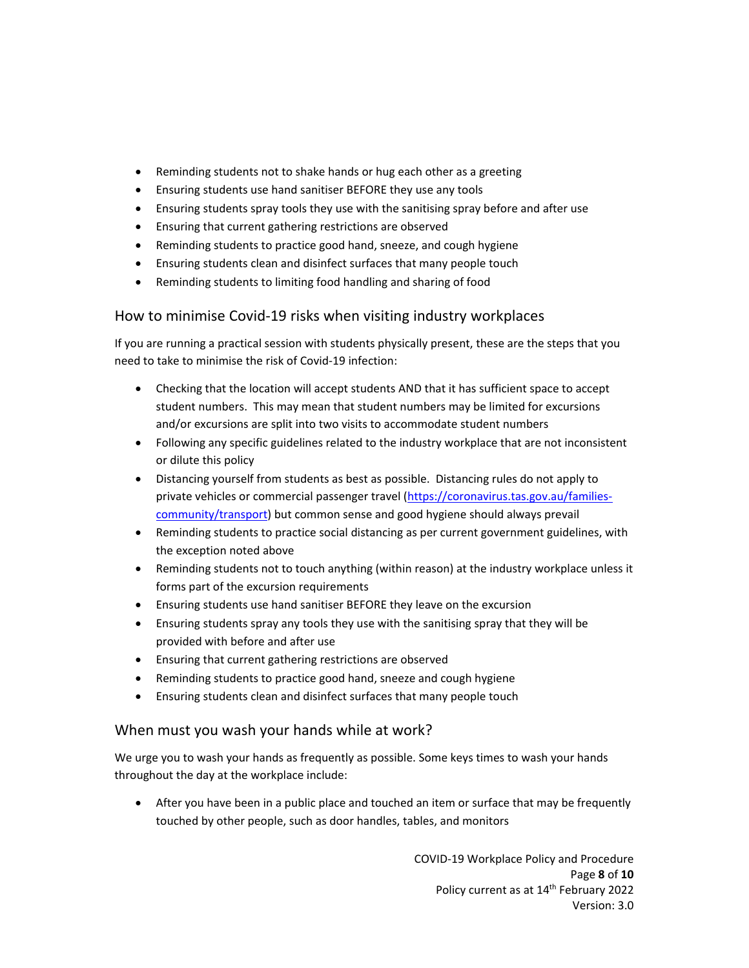- Reminding students not to shake hands or hug each other as a greeting
- Ensuring students use hand sanitiser BEFORE they use any tools
- Ensuring students spray tools they use with the sanitising spray before and after use
- Ensuring that current gathering restrictions are observed
- Reminding students to practice good hand, sneeze, and cough hygiene
- Ensuring students clean and disinfect surfaces that many people touch
- Reminding students to limiting food handling and sharing of food

## How to minimise Covid‐19 risks when visiting industry workplaces

If you are running a practical session with students physically present, these are the steps that you need to take to minimise the risk of Covid‐19 infection:

- Checking that the location will accept students AND that it has sufficient space to accept student numbers. This may mean that student numbers may be limited for excursions and/or excursions are split into two visits to accommodate student numbers
- Following any specific guidelines related to the industry workplace that are not inconsistent or dilute this policy
- Distancing yourself from students as best as possible. Distancing rules do not apply to private vehicles or commercial passenger travel (https://coronavirus.tas.gov.au/familiescommunity/transport) but common sense and good hygiene should always prevail
- Reminding students to practice social distancing as per current government guidelines, with the exception noted above
- Reminding students not to touch anything (within reason) at the industry workplace unless it forms part of the excursion requirements
- Ensuring students use hand sanitiser BEFORE they leave on the excursion
- Ensuring students spray any tools they use with the sanitising spray that they will be provided with before and after use
- Ensuring that current gathering restrictions are observed
- Reminding students to practice good hand, sneeze and cough hygiene
- Ensuring students clean and disinfect surfaces that many people touch

#### When must you wash your hands while at work?

We urge you to wash your hands as frequently as possible. Some keys times to wash your hands throughout the day at the workplace include:

 After you have been in a public place and touched an item or surface that may be frequently touched by other people, such as door handles, tables, and monitors

> COVID‐19 Workplace Policy and Procedure Page **8** of **10** Policy current as at 14<sup>th</sup> February 2022 Version: 3.0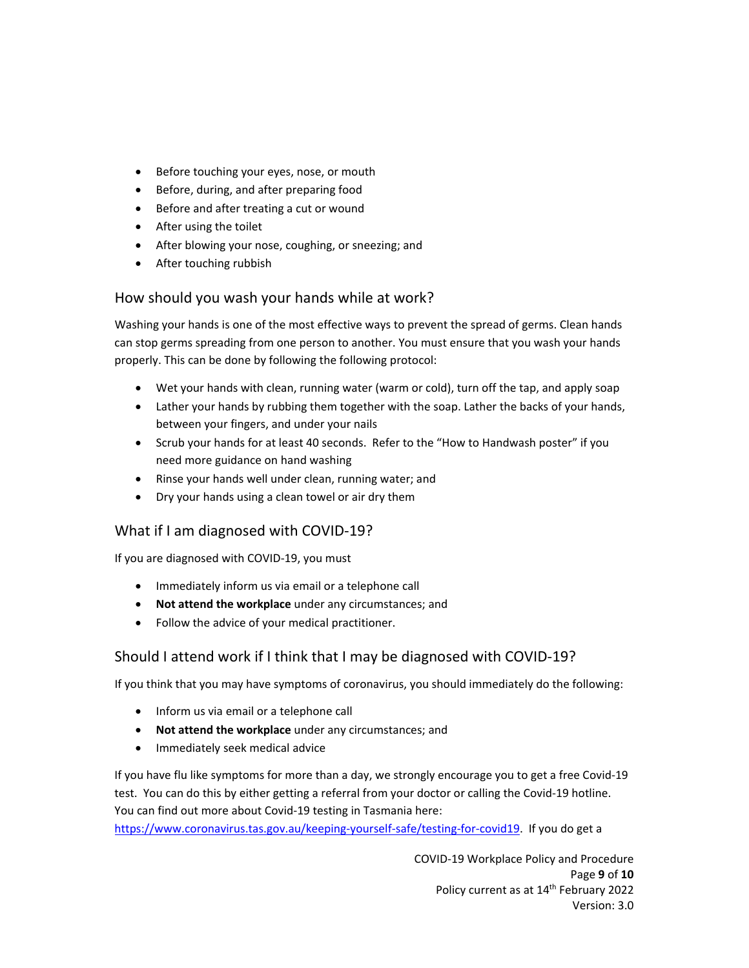- Before touching your eyes, nose, or mouth
- Before, during, and after preparing food
- Before and after treating a cut or wound
- After using the toilet
- After blowing your nose, coughing, or sneezing; and
- After touching rubbish

## How should you wash your hands while at work?

Washing your hands is one of the most effective ways to prevent the spread of germs. Clean hands can stop germs spreading from one person to another. You must ensure that you wash your hands properly. This can be done by following the following protocol:

- Wet your hands with clean, running water (warm or cold), turn off the tap, and apply soap
- Lather your hands by rubbing them together with the soap. Lather the backs of your hands, between your fingers, and under your nails
- Scrub your hands for at least 40 seconds. Refer to the "How to Handwash poster" if you need more guidance on hand washing
- Rinse your hands well under clean, running water; and
- Dry your hands using a clean towel or air dry them

## What if I am diagnosed with COVID‐19?

If you are diagnosed with COVID‐19, you must

- Immediately inform us via email or a telephone call
- **Not attend the workplace** under any circumstances; and
- Follow the advice of your medical practitioner.

## Should I attend work if I think that I may be diagnosed with COVID‐19?

If you think that you may have symptoms of coronavirus, you should immediately do the following:

- Inform us via email or a telephone call
- **Not attend the workplace** under any circumstances; and
- Immediately seek medical advice

If you have flu like symptoms for more than a day, we strongly encourage you to get a free Covid‐19 test. You can do this by either getting a referral from your doctor or calling the Covid‐19 hotline. You can find out more about Covid‐19 testing in Tasmania here: https://www.coronavirus.tas.gov.au/keeping‐yourself‐safe/testing‐for‐covid19. If you do get a

> COVID‐19 Workplace Policy and Procedure Page **9** of **10** Policy current as at 14<sup>th</sup> February 2022 Version: 3.0